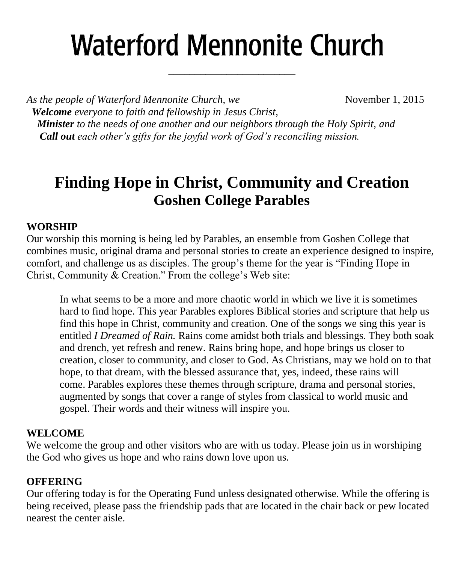# **Waterford Mennonite Church**

\_\_\_\_\_\_\_\_\_\_\_\_\_\_\_\_\_\_\_\_\_\_\_\_

*As the people of Waterford Mennonite Church, we* November 1, 2015  *Welcome everyone to faith and fellowship in Jesus Christ, Minister to the needs of one another and our neighbors through the Holy Spirit, and Call out each other's gifts for the joyful work of God's reconciling mission.*

## **Finding Hope in Christ, Community and Creation Goshen College Parables**

#### **WORSHIP**

Our worship this morning is being led by Parables, an ensemble from Goshen College that combines music, original drama and personal stories to create an experience designed to inspire, comfort, and challenge us as disciples. The group's theme for the year is "Finding Hope in Christ, Community & Creation." From the college's Web site:

In what seems to be a more and more chaotic world in which we live it is sometimes hard to find hope. This year Parables explores Biblical stories and scripture that help us find this hope in Christ, community and creation. One of the songs we sing this year is entitled *I Dreamed of Rain.* Rains come amidst both trials and blessings. They both soak and drench, yet refresh and renew. Rains bring hope, and hope brings us closer to creation, closer to community, and closer to God. As Christians, may we hold on to that hope, to that dream, with the blessed assurance that, yes, indeed, these rains will come. Parables explores these themes through scripture, drama and personal stories, augmented by songs that cover a range of styles from classical to world music and gospel. Their words and their witness will inspire you.

#### **WELCOME**

We welcome the group and other visitors who are with us today. Please join us in worshiping the God who gives us hope and who rains down love upon us.

#### **OFFERING**

Our offering today is for the Operating Fund unless designated otherwise. While the offering is being received, please pass the friendship pads that are located in the chair back or pew located nearest the center aisle.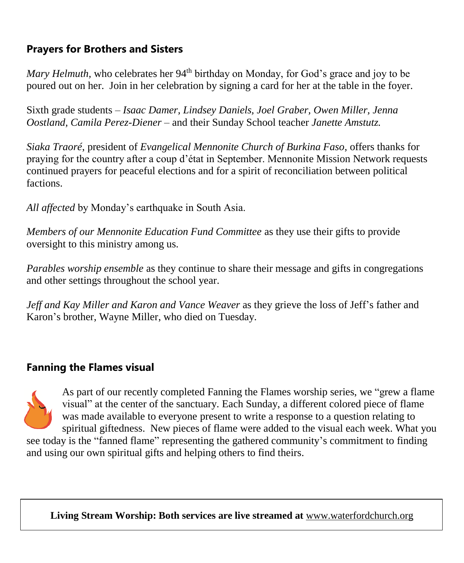### **Prayers for Brothers and Sisters**

*Mary Helmuth*, who celebrates her 94<sup>th</sup> birthday on Monday, for God's grace and joy to be poured out on her. Join in her celebration by signing a card for her at the table in the foyer.

Sixth grade students *– Isaac Damer, Lindsey Daniels, Joel Graber, Owen Miller, Jenna Oostland, Camila Perez-Diener –* and their Sunday School teacher *Janette Amstutz.*

*Siaka Traoré*, president of *Evangelical Mennonite Church of Burkina Faso*, offers thanks for praying for the country after a coup d'état in September. Mennonite Mission Network requests continued prayers for peaceful elections and for a spirit of reconciliation between political factions.

*All affected* by Monday's earthquake in South Asia.

*Members of our Mennonite Education Fund Committee* as they use their gifts to provide oversight to this ministry among us.

*Parables worship ensemble* as they continue to share their message and gifts in congregations and other settings throughout the school year.

*Jeff and Kay Miller and Karon and Vance Weaver* as they grieve the loss of Jeff's father and Karon's brother, Wayne Miller, who died on Tuesday.

#### **Fanning the Flames visual**

As part of our recently completed Fanning the Flames worship series, we "grew a flame visual" at the center of the sanctuary. Each Sunday, a different colored piece of flame was made available to everyone present to write a response to a question relating to spiritual giftedness. New pieces of flame were added to the visual each week. What you

see today is the "fanned flame" representing the gathered community's commitment to finding and using our own spiritual gifts and helping others to find theirs.

**Living Stream Worship: Both services are live streamed at** [www.waterfordchurch.org](http://www.waterfordchurch.org/)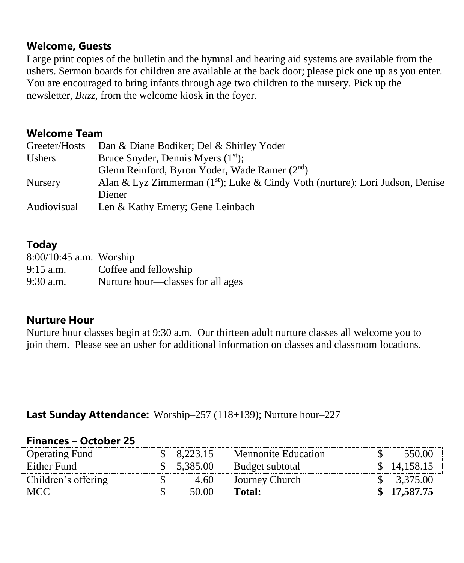#### **Welcome, Guests**

Large print copies of the bulletin and the hymnal and hearing aid systems are available from the ushers. Sermon boards for children are available at the back door; please pick one up as you enter. You are encouraged to bring infants through age two children to the nursery. Pick up the newsletter, *Buzz,* from the welcome kiosk in the foyer.

#### **Welcome Team**

| Greeter/Hosts  | Dan & Diane Bodiker; Del & Shirley Yoder                                                  |
|----------------|-------------------------------------------------------------------------------------------|
| <b>Ushers</b>  | Bruce Snyder, Dennis Myers $(1st)$ ;                                                      |
|                | Glenn Reinford, Byron Yoder, Wade Ramer (2nd)                                             |
| <b>Nursery</b> | Alan & Lyz Zimmerman (1 <sup>st</sup> ); Luke & Cindy Voth (nurture); Lori Judson, Denise |
|                | Diener                                                                                    |
| Audiovisual    | Len & Kathy Emery; Gene Leinbach                                                          |

#### **Today**

| $8:00/10:45$ a.m. Worship |                                   |
|---------------------------|-----------------------------------|
| $9:15$ a.m.               | Coffee and fellowship             |
| $9:30$ a.m.               | Nurture hour—classes for all ages |

#### **Nurture Hour**

Nurture hour classes begin at 9:30 a.m. Our thirteen adult nurture classes all welcome you to join them. Please see an usher for additional information on classes and classroom locations.

#### **Last Sunday Attendance:** Worship–257 (118+139); Nurture hour–227

#### **Finances – October 25**

| <b>Operating Fund</b> | $\$$ 8,223.15 | <b>Mennonite Education</b> | 550.00       |
|-----------------------|---------------|----------------------------|--------------|
| Either Fund           | \$ 5,385.00   | Budget subtotal            | \$ 14,158.15 |
| Children's offering   | 4.60          | Journey Church             | \$3,375.00   |
| MCC .                 | 50.00         | Total:                     | \$17,587.75  |